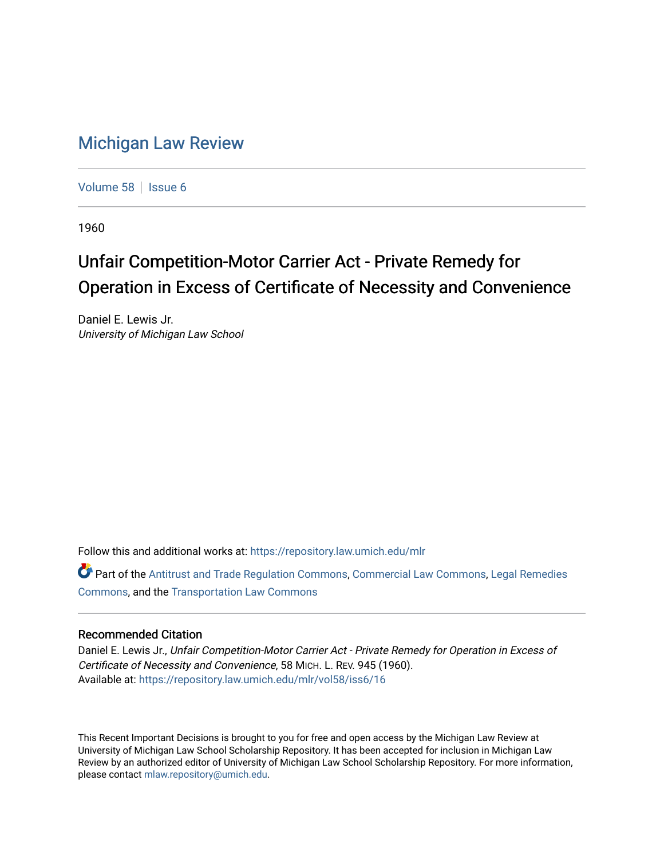## [Michigan Law Review](https://repository.law.umich.edu/mlr)

[Volume 58](https://repository.law.umich.edu/mlr/vol58) | [Issue 6](https://repository.law.umich.edu/mlr/vol58/iss6)

1960

## Unfair Competition-Motor Carrier Act - Private Remedy for Operation in Excess of Certificate of Necessity and Convenience

Daniel E. Lewis Jr. University of Michigan Law School

Follow this and additional works at: [https://repository.law.umich.edu/mlr](https://repository.law.umich.edu/mlr?utm_source=repository.law.umich.edu%2Fmlr%2Fvol58%2Fiss6%2F16&utm_medium=PDF&utm_campaign=PDFCoverPages) 

Part of the [Antitrust and Trade Regulation Commons,](http://network.bepress.com/hgg/discipline/911?utm_source=repository.law.umich.edu%2Fmlr%2Fvol58%2Fiss6%2F16&utm_medium=PDF&utm_campaign=PDFCoverPages) [Commercial Law Commons](http://network.bepress.com/hgg/discipline/586?utm_source=repository.law.umich.edu%2Fmlr%2Fvol58%2Fiss6%2F16&utm_medium=PDF&utm_campaign=PDFCoverPages), [Legal Remedies](http://network.bepress.com/hgg/discipline/618?utm_source=repository.law.umich.edu%2Fmlr%2Fvol58%2Fiss6%2F16&utm_medium=PDF&utm_campaign=PDFCoverPages)  [Commons](http://network.bepress.com/hgg/discipline/618?utm_source=repository.law.umich.edu%2Fmlr%2Fvol58%2Fiss6%2F16&utm_medium=PDF&utm_campaign=PDFCoverPages), and the [Transportation Law Commons](http://network.bepress.com/hgg/discipline/885?utm_source=repository.law.umich.edu%2Fmlr%2Fvol58%2Fiss6%2F16&utm_medium=PDF&utm_campaign=PDFCoverPages) 

## Recommended Citation

Daniel E. Lewis Jr., Unfair Competition-Motor Carrier Act - Private Remedy for Operation in Excess of Certificate of Necessity and Convenience, 58 MICH. L. REV. 945 (1960). Available at: [https://repository.law.umich.edu/mlr/vol58/iss6/16](https://repository.law.umich.edu/mlr/vol58/iss6/16?utm_source=repository.law.umich.edu%2Fmlr%2Fvol58%2Fiss6%2F16&utm_medium=PDF&utm_campaign=PDFCoverPages) 

This Recent Important Decisions is brought to you for free and open access by the Michigan Law Review at University of Michigan Law School Scholarship Repository. It has been accepted for inclusion in Michigan Law Review by an authorized editor of University of Michigan Law School Scholarship Repository. For more information, please contact [mlaw.repository@umich.edu.](mailto:mlaw.repository@umich.edu)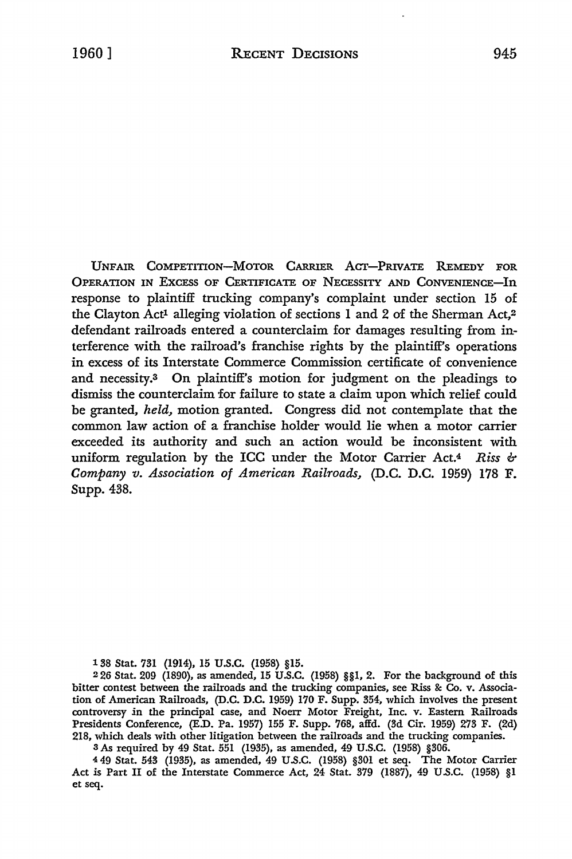UNFAIR COMPETITION-MOTOR CARRIER ACT-PRIVATE REMEDY FOR OPERATION IN EXCESS OF CERTIFICATE OF NECESSITY AND CONVENIENCE-In response to plaintiff trucking company's complaint under section 15 of the Clayton Act<sup>1</sup> alleging violation of sections 1 and 2 of the Sherman Act.<sup>2</sup> defendant railroads entered a counterclaim for damages resulting from interference with the railroad's franchise rights by the plaintiff's operations in excess of its Interstate Commerce Commission certificate of convenience and necessity.<sup>3</sup> On plaintiff's motion for judgment on the pleadings to dismiss the counterclaim for failure to state a claim upon which relief could be granted, *held,* motion granted. Congress did not contemplate that the common law action of a franchise holder would lie when a motor carrier exceeded its authority and such an action would be inconsistent with uniform regulation by the ICC under the Motor Carrier Act.4 *Riss b Company v. Association of American Railroads,* (D.C. D.C. 1959) 178 F. Supp. 438.

138 Stat. 731 (1914), 15 U.S.C. (1958) §15.

<sup>2</sup>26 Stat. 209 (1890), as amended, 15 U.S.C. (1958) §§1, 2. For the background of this bitter contest between the railroads and the trucking companies, see Riss & Co. v. Association of American Railroads, (D.C. D.C. 1959) 170 F. Supp. 354, which involves the present controversy in the principal case, and Noerr Motor Freight, Inc. v. Eastern Railroads Presidents Conference, (E.D. Pa. 1957) 155 F. Supp. 768, alfd. (3d Cir. 1959) 273 F. (2d) 218, which deals with other litigation between the railroads and the trucking companies.

3 As required by 49 Stat. 551 (1935), as amended, 49 U.S.C. (1958) §306.

<sup>4</sup>49 Stat. 543 (1935), as amended, 49 U.S.C. (1958) §301 et seq. The Motor Carrier Act is Part II of the Interstate Commerce Act, 24 Stat. 379 (1887), 49 U.S.C. (1958) §1 et seq.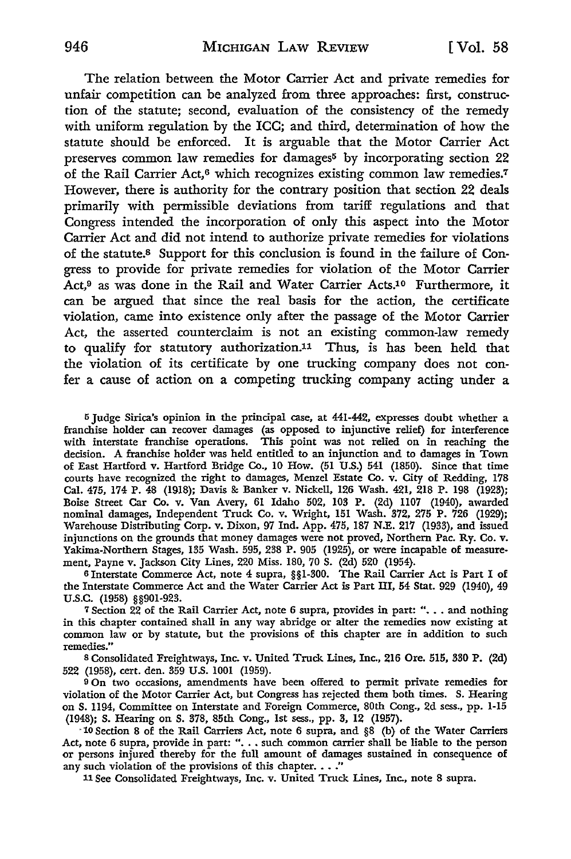The relation between the Motor Carrier Act and private remedies for unfair competition can be analyzed from three approaches: first, construction of the statute; second, evaluation of the consistency of the remedy with uniform regulation by the ICC; and third, determination of how the statute should be enforced. It is arguable that the Motor Carrier Act preserves common law remedies for damages<sup>5</sup> by incorporating section 22 of the Rail Carrier Act,<sup>6</sup> which recognizes existing common law remedies.<sup>7</sup> However, there is authority for the contrary position that section 22 deals primarily with permissible deviations from tariff regulations and that Congress intended the incorporation of only this aspect into the Motor Carrier Act and did not intend to authorize private remedies for violations of the statute.8 Support for this conclusion is found in the failure of Congress to provide for private remedies for violation of the Motor Carrier Act,9 as was done in the Rail and Water Carrier Acts.1° Furthermore, it can be argued that since the real basis for the action, the certificate violation, came into existence only after the passage of the Motor Carrier Act, the asserted counterclaim is not an existing common-law remedy to qualify for statutory authorization.11 Thus, is has been held that the violation of its certificate by one trucking company does not confer a cause of action on a competing trucking company acting under a

<sup>5</sup>Judge Sirica's opinion in the principal case, at 441-442, expresses doubt whether a franchise holder can recover damages (as opposed to injunctive relief) for interference with interstate franchise operations. This point was not relied on in reaching the decision. A franchise holder was held entitled to an injunction and to damages in Town of East Hartford v. Hartford Bridge Co., 10 How. (51 U.S.) 541 (1850). Since that time courts have recognized the right to damages, Menzel Estate Co. v. City of Redding, 178 Cal. 475, 174 P. 48 (1918); Davis & Banker v. Nickell, 126 Wash. 421, 218 P. 198 (1923); Boise Street Car Co. v. Van Avery, 61 Idaho 502, 103 P. (2d) 1107 (1940), awarded nominal damages, Independent Truck Co. v. Wright, 151 Wash. 372, 275 P. 726 (1929); Warehouse Distributing Corp. v. Dixon, 97 Ind. App. 475, 187 N.E. 217 (1933), and issued injunctions on the grounds that money damages were not proved, Northern Pac. Ry. Co. v. Yakima-Northern Stages, 135 Wash. 595, 238 P. 905 (1925), or were incapable of measurement, Payne v. Jackson City Lines, 220 Miss. 180, 70 S. (2d) 520 (1954).

<sup>6</sup>Interstate Commerce Act, note 4 supra, §§1-300. The Rail Carrier Act is Part I of the Interstate Commerce Act and the Water Carrier Act is Part III, 54 Stat. 929 (1940), 49 u.s.c. (1958) §§901-923.

7 Section 22 of the Rail Carrier Act, note 6 supra, provides in part: ". . . and nothing in this chapter contained shall in any way abridge or alter the remedies now existing at common law or by statute, but the provisions of this chapter are in addition to such remedies."

s Consolidated Freightways, Inc. v. United Truck Lines, Inc., 216 Ore. 515, 330 P. (2d) 522 (1958), cert. den. 359 U.S. 1001 (1959).

9 On two occasions, amendments have been offered to permit private remedies for violation of the Motor Carrier Act, but Congress has rejected them both times. S. Hearing on S. 1194, Committee on Interstate and Foreign Commerce, 80th Cong., 2d sess., pp. 1-15 (1948); S. Hearing on S. 378, 85th Cong., 1st sess., pp. 3, 12 (1957).

· lo Section 8 of the Rail Carriers Act, note 6 supra, and §8 (b) of the Water Carriers Act, note 6 supra, provide in part: ". . . such common carrier shall be liable to the person or persons injured thereby for the full amount of damages sustained in consequence of any such violation of the provisions of this chapter.  $\ldots$  "

11 See Consolidated Freightways, Inc. v. United Truck Lines, Inc., note 8 supra.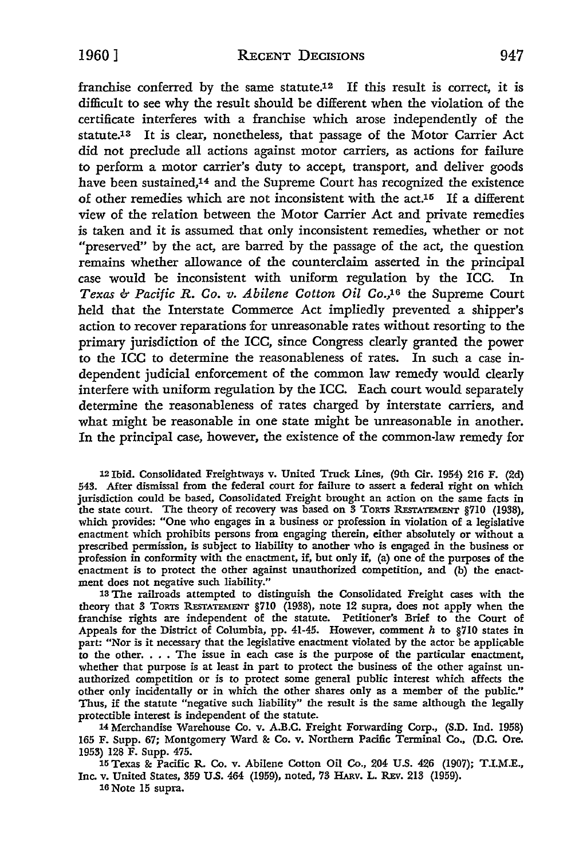franchise conferred by the same statute.<sup>12</sup> If this result is correct, it is difficult to see why the result should be different when the violation of the certificate interferes with a franchise which arose independently of the statute.13 It is clear, nonetheless, that passage of the Motor Carrier Act did not preclude all actions against motor carriers, as actions for failure to perform a motor carrier's duty to accept, transport, and deliver goods have been sustained,<sup>14</sup> and the Supreme Court has recognized the existence of other remedies which are not inconsistent with the act.15 If a different view of the relation between the Motor Carrier Act and private remedies is taken and it is assumed that only inconsistent remedies, whether or not "preserved" by the act, are barred by the passage of the act, the question remains whether allowance of the counterclaim asserted in the principal case would be inconsistent with uniform regulation by the ICC. In *Texas & Pacific R. Co. v. Abilene Cotton Oil* Co.,16 the Supreme Court held that the Interstate Commerce Act impliedly prevented a shipper's action to recover reparations for unreasonable rates without resorting to the primary jurisdiction of the ICC, since Congress clearly granted the power to the ICC to determine the reasonableness of rates. In such a case independent judicial enforcement of the common law remedy would clearly interfere with uniform regulation by the ICC. Each court would separately determine the reasonableness of rates charged by interstate carriers, and what might be reasonable in one state might be unreasonable in another. In the principal case, however, the existence of the common-law remedy for

12 Ibid. Consolidated Freightways v. United Truck Lines, (9th Cir. 1954) 216 F. (2d) 543. After dismissal from the federal court for failure to assert a federal right on which jurisdiction could be based, Consolidated Freight brought an action on the same facts in the state court. The theory of recovery was based on 3 Torrs RESTATEMENT §710 (1938), which provides: "One who engages in a business or profession in violation of a legislative enactment which prohibits persons from engaging therein, either absolutely or without a prescribed permission, is subject to liability to another who is engaged in the business or profession in conformity with the enactment, if, but only if, (a) one of the purposes of the enactment is to protect the other against unauthorized competition, and  $(b)$  the enactment does not negative such liability."

13 The railroads attempted to distinguish the Consolidated Freight cases with the theory that 3 TORTS RESTATEMENT §710 (1938), note 12 supra, does not apply when the franchise rights are independent of the statute. Petitioner's Brief to the Court of Appeals for the District of Columbia, pp. 41-45. However, comment h to §710 states in part: "Nor is it necessary that the legislative enactment violated by the actor be applicable to the other. . . . The issue in each case is the purpose of the particular enactment, whether that purpose is at least in part to protect the business of the other against unauthorized competition or is to protect some general public interest which affects the other only incidentally or in which the other shares only as a member of the public." Thus, if the statute "negative such liability" the result is the same although the legally protectible interest is independent of the statute.

14 Merchandise Warehouse Co. v. A.B.C. Freight Forwarding Corp., (S.D. Ind. 1958) 165 F. Supp. 67; Montgomery Ward &: Co. v. Northern Pacific Terminal Co., (D.C. Ore. 1953) 128 F. Supp. 475.

15 Texas &: Pacific R. Co. v. Abilene Cotton Oil Co., 204 U.S. 426 (1907); T.I.M.E., Inc. v. United States, 359 U.S. 464 (1959), noted, 73 HARv. L. REv. 213 (1959).

16 Note 15 supra.